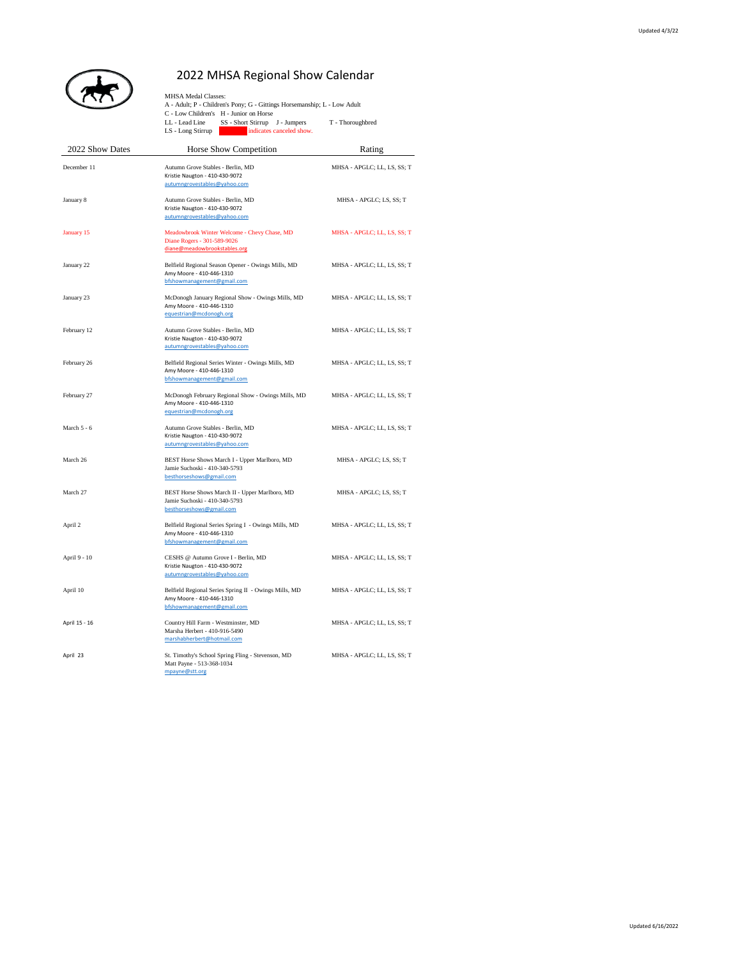

## 2022 MHSA Regional Show Calendar

|                 | <b>MHSA Medal Classes:</b><br>A - Adult; P - Children's Pony; G - Gittings Horsemanship; L - Low Adult<br>C - Low Children's H - Junior on Horse<br>LL - Lead Line<br>SS - Short Stirrup J - Jumpers<br>indicates canceled show.<br>$LS$ - Long Stirrup | T - Thoroughbred            |
|-----------------|---------------------------------------------------------------------------------------------------------------------------------------------------------------------------------------------------------------------------------------------------------|-----------------------------|
| 2022 Show Dates | Horse Show Competition                                                                                                                                                                                                                                  | Rating                      |
| December 11     | Autumn Grove Stables - Berlin, MD<br>Kristie Naugton - 410-430-9072<br>autumngrovestables@yahoo.com                                                                                                                                                     | MHSA - APGLC; LL, LS, SS; T |
| January 8       | Autumn Grove Stables - Berlin, MD<br>Kristie Naugton - 410-430-9072<br>autumngrovestables@yahoo.com                                                                                                                                                     | MHSA - APGLC; LS, SS; T     |
| January 15      | Meadowbrook Winter Welcome - Chevy Chase, MD<br>Diane Rogers - 301-589-9026<br>diane@meadowbrookstables.org                                                                                                                                             | MHSA - APGLC; LL, LS, SS; T |
| January 22      | Belfield Regional Season Opener - Owings Mills, MD<br>Amy Moore - 410-446-1310<br>bfshowmanagement@gmail.com                                                                                                                                            | MHSA - APGLC; LL, LS, SS; T |
| January 23      | McDonogh January Regional Show - Owings Mills, MD<br>Amy Moore - 410-446-1310<br>equestrian@mcdonogh.org                                                                                                                                                | MHSA - APGLC; LL, LS, SS; T |
| February 12     | Autumn Grove Stables - Berlin, MD<br>Kristie Naugton - 410-430-9072<br>autumngrovestables@yahoo.com                                                                                                                                                     | MHSA - APGLC; LL, LS, SS; T |
| February 26     | Belfield Regional Series Winter - Owings Mills, MD<br>Amy Moore - 410-446-1310<br>bfshowmanagement@gmail.com                                                                                                                                            | MHSA - APGLC; LL, LS, SS; T |
| February 27     | McDonogh February Regional Show - Owings Mills, MD<br>Amy Moore - 410-446-1310<br>equestrian@mcdonogh.org                                                                                                                                               | MHSA - APGLC; LL, LS, SS; T |
| March 5 - 6     | Autumn Grove Stables - Berlin, MD<br>Kristie Naugton - 410-430-9072<br>autumngrovestables@yahoo.com                                                                                                                                                     | MHSA - APGLC; LL, LS, SS; T |
| March 26        | BEST Horse Shows March I - Upper Marlboro, MD<br>Jamie Suchoski - 410-340-5793<br>besthorseshows@gmail.com                                                                                                                                              | MHSA - APGLC; LS, SS; T     |
| March 27        | BEST Horse Shows March II - Upper Marlboro, MD<br>Jamie Suchoski - 410-340-5793<br>besthorseshows@gmail.com                                                                                                                                             | MHSA - APGLC; LS, SS; T     |
| April 2         | Belfield Regional Series Spring I - Owings Mills, MD<br>Amy Moore - 410-446-1310<br>bfshowmanagement@gmail.com                                                                                                                                          | MHSA - APGLC; LL, LS, SS; T |
| April 9 - 10    | CESHS @ Autumn Grove I - Berlin, MD<br>Kristie Naugton - 410-430-9072<br>autumngrovestables@yahoo.com                                                                                                                                                   | MHSA - APGLC; LL, LS, SS; T |
| April 10        | Belfield Regional Series Spring II - Owings Mills, MD<br>Amy Moore - 410-446-1310<br>bfshowmanagement@gmail.com                                                                                                                                         | MHSA - APGLC; LL, LS, SS; T |
| April 15 - 16   | Country Hill Farm - Westminster, MD<br>Marsha Herbert - 410-916-5490<br>marshabherbert@hotmail.com                                                                                                                                                      | MHSA - APGLC; LL, LS, SS; T |
| April 23        | St. Timothy's School Spring Fling - Stevenson, MD<br>Matt Payne - 513-368-1034<br>mpayne@stt.org                                                                                                                                                        | MHSA - APGLC; LL, LS, SS; T |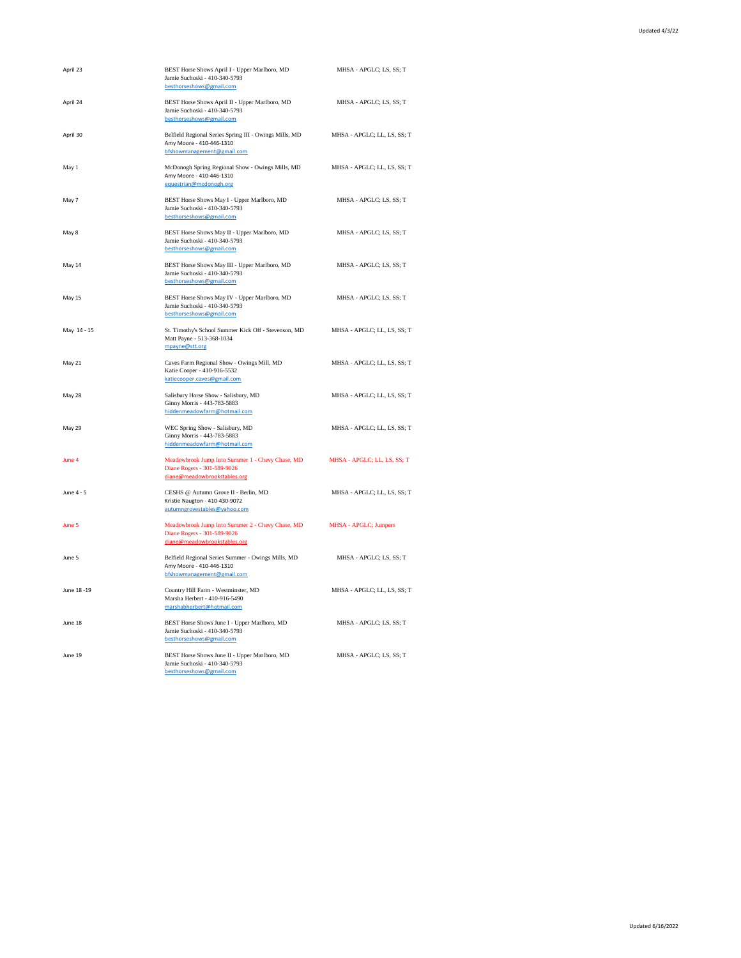| April 23     | BEST Horse Shows April I - Upper Marlboro, MD<br>Jamie Suchoski - 410-340-5793<br>besthorseshows@gmail.com       | MHSA - APGLC; LS, SS; T     |
|--------------|------------------------------------------------------------------------------------------------------------------|-----------------------------|
| April 24     | BEST Horse Shows April II - Upper Marlboro, MD<br>Jamie Suchoski - 410-340-5793<br>besthorseshows@gmail.com      | MHSA - APGLC; LS, SS; T     |
| April 30     | Belfield Regional Series Spring III - Owings Mills, MD<br>Amy Moore - 410-446-1310<br>bfshowmanagement@gmail.com | MHSA - APGLC; LL, LS, SS; T |
| May 1        | McDonogh Spring Regional Show - Owings Mills, MD<br>Amy Moore - 410-446-1310<br>equestrian@mcdonogh.org          | MHSA - APGLC; LL, LS, SS; T |
| May 7        | BEST Horse Shows May I - Upper Marlboro, MD<br>Jamie Suchoski - 410-340-5793<br>besthorseshows@gmail.com         | MHSA - APGLC; LS, SS; T     |
| May 8        | BEST Horse Shows May II - Upper Marlboro, MD<br>Jamie Suchoski - 410-340-5793<br>besthorseshows@gmail.com        | MHSA - APGLC; LS, SS; T     |
| May 14       | BEST Horse Shows May III - Upper Marlboro, MD<br>Jamie Suchoski - 410-340-5793<br>besthorseshows@gmail.com       | MHSA - APGLC; LS, SS; T     |
| May 15       | BEST Horse Shows May IV - Upper Marlboro, MD<br>Jamie Suchoski - 410-340-5793<br>besthorseshows@gmail.com        | MHSA - APGLC; LS, SS; T     |
| May 14 - 15  | St. Timothy's School Summer Kick Off - Stevenson, MD<br>Matt Payne - 513-368-1034<br>mpayne@stt.org              | MHSA - APGLC; LL, LS, SS; T |
| May 21       | Caves Farm Regional Show - Owings Mill, MD<br>Katie Cooper - 410-916-5532<br>katiecooper.caves@gmail.com         | MHSA - APGLC; LL, LS, SS; T |
| May 28       | Salisbury Horse Show - Salisbury, MD<br>Ginny Morris - 443-783-5883<br>hiddenmeadowfarm@hotmail.com              | MHSA - APGLC; LL, LS, SS; T |
| May 29       | WEC Spring Show - Salisbury, MD<br>Ginny Morris - 443-783-5883<br>hiddenmeadowfarm@hotmail.com                   | MHSA - APGLC; LL, LS, SS; T |
| June 4       | Meadowbrook Jump Into Summer 1 - Chevy Chase, MD<br>Diane Rogers - 301-589-9026<br>diane@meadowbrookstables.org  | MHSA - APGLC; LL, LS, SS; T |
| June 4 - 5   | CESHS @ Autumn Grove II - Berlin, MD<br>Kristie Naugton - 410-430-9072<br>autumngrovestables@yahoo.com           | MHSA - APGLC; LL, LS, SS; T |
| June 5       | Meadowbrook Jump Into Summer 2 - Chevy Chase, MD<br>Diane Rogers - 301-589-9026<br>diane@meadowbrookstables.org  | MHSA - APGLC; Jumpers       |
| June 5       | Belfield Regional Series Summer - Owings Mills, MD<br>Amy Moore - 410-446-1310<br>bfshowmanagement@gmail.com     | MHSA - APGLC; LS, SS; T     |
| June 18 - 19 | Country Hill Farm - Westminster, MD<br>Marsha Herbert - 410-916-5490<br>marshabherbert@hotmail.com               | MHSA - APGLC; LL, LS, SS; T |
| June 18      | BEST Horse Shows June I - Upper Marlboro, MD<br>Jamie Suchoski - 410-340-5793<br>besthorseshows@gmail.com        | MHSA - APGLC; LS, SS; T     |
| June 19      | BEST Horse Shows June II - Upper Marlboro, MD<br>Jamie Suchoski - 410-340-5793<br>besthorseshows@gmail.com       | MHSA - APGLC; LS, SS; T     |